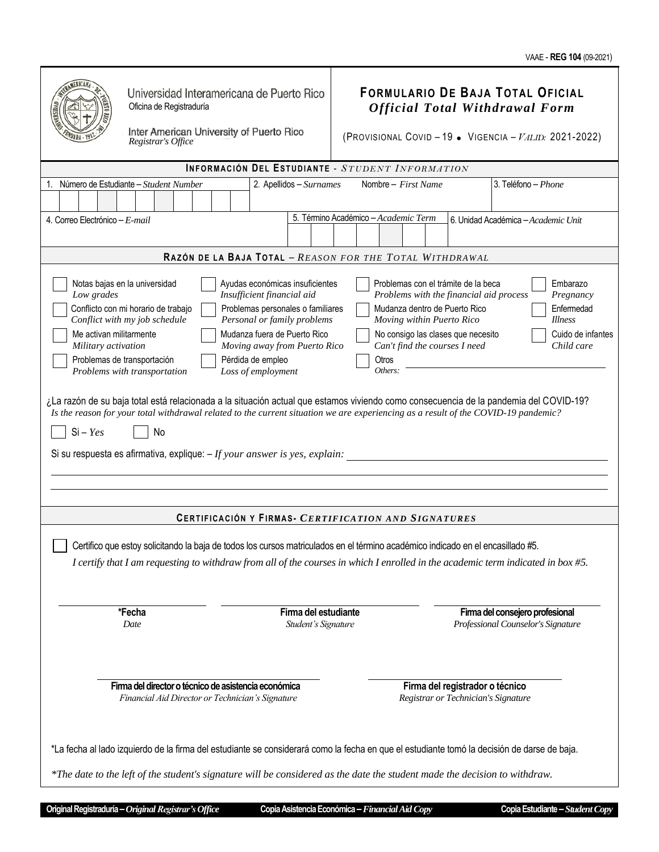|                                                                                                                                                                                                                                                                                                                                                                                                                                                                                                                                                                                                                                                                                                                                                                                                                                                                                                                                                                                                                                                                                                                                                                                                               | Oficina de Registraduría<br>Registrar's Office                                                           | Inter American University of Puerto Rico | Universidad Interamericana de Puerto Rico   | <b>FORMULARIO DE BAJA TOTAL OFICIAL</b><br><b>Official Total Withdrawal Form</b><br>(PROVISIONAL COVID - 19 . VIGENCIA - $VALID$ : 2021-2022) |                                                                        |                                                                       |  |
|---------------------------------------------------------------------------------------------------------------------------------------------------------------------------------------------------------------------------------------------------------------------------------------------------------------------------------------------------------------------------------------------------------------------------------------------------------------------------------------------------------------------------------------------------------------------------------------------------------------------------------------------------------------------------------------------------------------------------------------------------------------------------------------------------------------------------------------------------------------------------------------------------------------------------------------------------------------------------------------------------------------------------------------------------------------------------------------------------------------------------------------------------------------------------------------------------------------|----------------------------------------------------------------------------------------------------------|------------------------------------------|---------------------------------------------|-----------------------------------------------------------------------------------------------------------------------------------------------|------------------------------------------------------------------------|-----------------------------------------------------------------------|--|
| INFORMACIÓN DEL ESTUDIANTE - STUDENT INFORMATION                                                                                                                                                                                                                                                                                                                                                                                                                                                                                                                                                                                                                                                                                                                                                                                                                                                                                                                                                                                                                                                                                                                                                              |                                                                                                          |                                          |                                             |                                                                                                                                               |                                                                        |                                                                       |  |
| Número de Estudiante - Student Number<br>2. Apellidos - Surnames<br>3. Teléfono - Phone<br>Nombre - First Name<br>1.                                                                                                                                                                                                                                                                                                                                                                                                                                                                                                                                                                                                                                                                                                                                                                                                                                                                                                                                                                                                                                                                                          |                                                                                                          |                                          |                                             |                                                                                                                                               |                                                                        |                                                                       |  |
|                                                                                                                                                                                                                                                                                                                                                                                                                                                                                                                                                                                                                                                                                                                                                                                                                                                                                                                                                                                                                                                                                                                                                                                                               |                                                                                                          |                                          |                                             |                                                                                                                                               |                                                                        |                                                                       |  |
| 5. Término Académico - Academic Term<br>4. Correo Electrónico - E-mail<br>6. Unidad Académica - Academic Unit                                                                                                                                                                                                                                                                                                                                                                                                                                                                                                                                                                                                                                                                                                                                                                                                                                                                                                                                                                                                                                                                                                 |                                                                                                          |                                          |                                             |                                                                                                                                               |                                                                        |                                                                       |  |
|                                                                                                                                                                                                                                                                                                                                                                                                                                                                                                                                                                                                                                                                                                                                                                                                                                                                                                                                                                                                                                                                                                                                                                                                               |                                                                                                          |                                          |                                             |                                                                                                                                               |                                                                        |                                                                       |  |
| RAZÓN DE LA BAJA TOTAL - REASON FOR THE TOTAL WITHDRAWAL                                                                                                                                                                                                                                                                                                                                                                                                                                                                                                                                                                                                                                                                                                                                                                                                                                                                                                                                                                                                                                                                                                                                                      |                                                                                                          |                                          |                                             |                                                                                                                                               |                                                                        |                                                                       |  |
| Notas bajas en la universidad<br>Ayudas económicas insuficientes<br>Problemas con el trámite de la beca<br>Embarazo<br>Low grades<br>Insufficient financial aid<br>Problems with the financial aid process<br>Pregnancy<br>Mudanza dentro de Puerto Rico<br>Conflicto con mi horario de trabajo<br>Problemas personales o familiares<br>Enfermedad<br>Conflict with my job schedule<br>Personal or family problems<br>Moving within Puerto Rico<br><i>Illness</i><br>Mudanza fuera de Puerto Rico<br>Me activan militarmente<br>No consigo las clases que necesito<br>Cuido de infantes<br>Moving away from Puerto Rico<br>Can't find the courses I need<br>Child care<br>Military activation<br>Problemas de transportación<br>Pérdida de empleo<br>Otros<br>Problems with transportation<br>Loss of employment<br>Others:<br>¿La razón de su baja total está relacionada a la situación actual que estamos viviendo como consecuencia de la pandemia del COVID-19?<br>Is the reason for your total withdrawal related to the current situation we are experiencing as a result of the COVID-19 pandemic?<br>$Si - Yes$<br>No<br>Si su respuesta es afirmativa, explique: $-If$ your answer is yes, explain: |                                                                                                          |                                          |                                             |                                                                                                                                               |                                                                        |                                                                       |  |
|                                                                                                                                                                                                                                                                                                                                                                                                                                                                                                                                                                                                                                                                                                                                                                                                                                                                                                                                                                                                                                                                                                                                                                                                               |                                                                                                          |                                          |                                             |                                                                                                                                               |                                                                        |                                                                       |  |
| CERTIFICACIÓN Y FIRMAS- CERTIFICATION AND SIGNATURES<br>Certifico que estoy solicitando la baja de todos los cursos matriculados en el término académico indicado en el encasillado #5.<br>I certify that I am requesting to withdraw from all of the courses in which I enrolled in the academic term indicated in box #5.                                                                                                                                                                                                                                                                                                                                                                                                                                                                                                                                                                                                                                                                                                                                                                                                                                                                                   |                                                                                                          |                                          |                                             |                                                                                                                                               |                                                                        |                                                                       |  |
|                                                                                                                                                                                                                                                                                                                                                                                                                                                                                                                                                                                                                                                                                                                                                                                                                                                                                                                                                                                                                                                                                                                                                                                                               | *Fecha<br>Date                                                                                           |                                          | Firma del estudiante<br>Student's Signature |                                                                                                                                               |                                                                        | Firma del consejero profesional<br>Professional Counselor's Signature |  |
|                                                                                                                                                                                                                                                                                                                                                                                                                                                                                                                                                                                                                                                                                                                                                                                                                                                                                                                                                                                                                                                                                                                                                                                                               | Firma del director o técnico de asistencia económica<br>Financial Aid Director or Technician's Signature |                                          |                                             |                                                                                                                                               | Firma del registrador o técnico<br>Registrar or Technician's Signature |                                                                       |  |
| *La fecha al lado izquierdo de la firma del estudiante se considerará como la fecha en que el estudiante tomó la decisión de darse de baja.<br>*The date to the left of the student's signature will be considered as the date the student made the decision to withdraw.                                                                                                                                                                                                                                                                                                                                                                                                                                                                                                                                                                                                                                                                                                                                                                                                                                                                                                                                     |                                                                                                          |                                          |                                             |                                                                                                                                               |                                                                        |                                                                       |  |